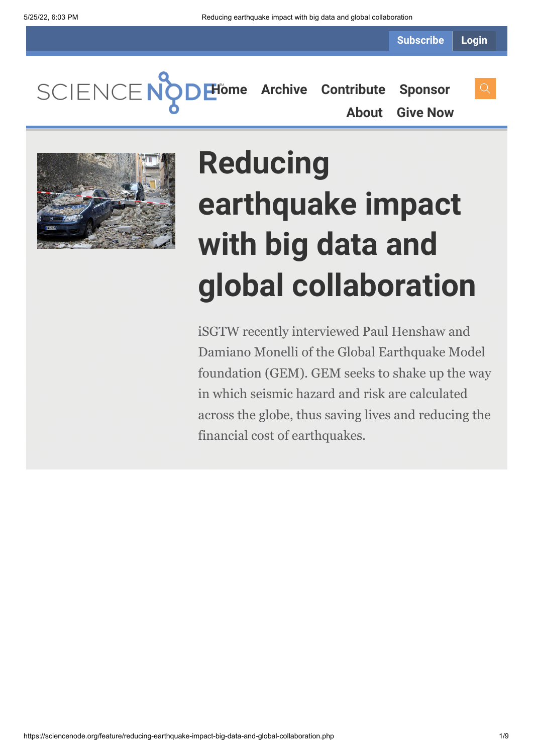**Subscribe Login**

SCIENCENC **[Home](https://sciencenode.org/) [Archive](https://sciencenode.org/archive/index.php) [Contribute](https://sciencenode.org/contribute/index.php) [Sponsor](https://sciencenode.org/sponsor/index.php) [About](https://sciencenode.org/about/index.php) [Give Now](https://sciencenode.org/donate/index.php)**



# **Reducing earthquake impact with big data and global collaboration**

iSGTW recently interviewed Paul Henshaw and Damiano Monelli of the Global Earthquake Model foundation (GEM). GEM seeks to shake up the way in which seismic hazard and risk are calculated across the globe, thus saving lives and reducing the financial cost of earthquakes.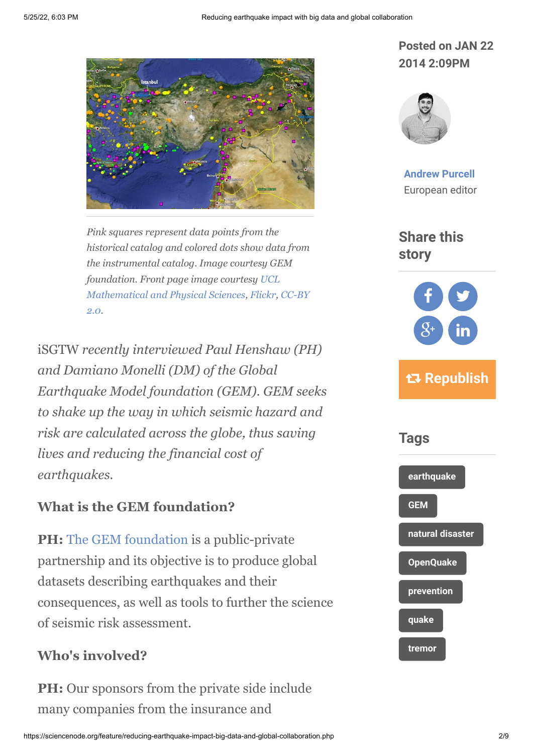

*Pink squares represent data points from the historical catalog and colored dots show data from the instrumental catalog. Image courtesy GEM [foundation. Front page image courtesy UCL](http://www.flickr.com/photos/uclmaps/) [Mathematical and Physical Sciences, Flickr, CC-BY](http://creativecommons.org/licenses/by/2.0/) 2.0.*

iSGTW *recently interviewed Paul Henshaw (PH) and Damiano Monelli (DM) of the Global Earthquake Model foundation (GEM). GEM seeks to shake up the way in which seismic hazard and risk are calculated across the globe, thus saving lives and reducing the financial cost of earthquakes.*

#### **What is the GEM foundation?**

**PH:** [The GEM foundation](http://www.globalquakemodel.org/gem/) is a public-private partnership and its objective is to produce global datasets describing earthquakes and their consequences, as well as tools to further the science of seismic risk assessment.

#### **Who's involved?**

**PH:** Our sponsors from the private side include many companies from the insurance and

#### **Posted on JAN 22 2014 2:09PM**



**[Andrew Purcell](https://sciencenode.org/author/andrew-purcell.php)** European editor

**Share this story**



# **Republish**

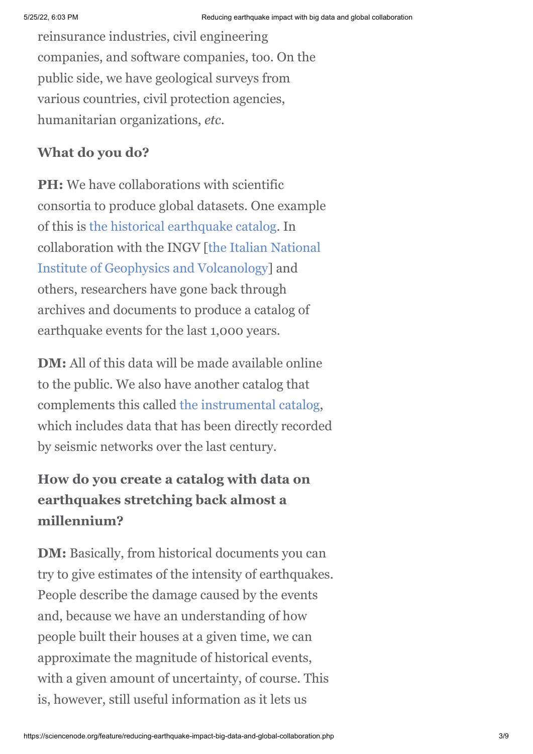reinsurance industries, civil engineering companies, and software companies, too. On the public side, we have geological surveys from various countries, civil protection agencies, humanitarian organizations, *etc*.

#### **What do you do?**

**PH:** We have collaborations with scientific consortia to produce global datasets. One example of this is [the historical earthquake catalog](http://www.globalquakemodel.org/what/seismic-hazard/historical-catalogue/). In [collaboration with the INGV \[the Italian National](https://www.google.ch/url?sa=t&rct=j&q=&esrc=s&source=web&cd=1&cad=rja&ved=0CC0QFjAA&url=http%3A%2F%2Fwww.ingv.it%2Fufficio-stampa%2Fstampa-e-comunicazione%2Farchivio-rassegna-stampa%2Frassegna-stampa-2008%2Fmarzo%2Fgeologia-misura-e-posizionamento-spaziale&ei=KmuPUu_nFKGl4ATz14HgBQ&usg=AFQjCNEBAztYWaovo2b8aGdWUtqZxXic9g&bvm=bv.56988011,d.bGE) Institute of Geophysics and Volcanology] and others, researchers have gone back through archives and documents to produce a catalog of earthquake events for the last 1,000 years.

**DM:** All of this data will be made available online to the public. We also have another catalog that complements this called [the instrumental catalog,](http://www.globalquakemodel.org/what/seismic-hazard/instrumental-catalogue/) which includes data that has been directly recorded by seismic networks over the last century.

## **How do you create a catalog with data on earthquakes stretching back almost a millennium?**

**DM:** Basically, from historical documents you can try to give estimates of the intensity of earthquakes. People describe the damage caused by the events and, because we have an understanding of how people built their houses at a given time, we can approximate the magnitude of historical events, with a given amount of uncertainty, of course. This is, however, still useful information as it lets us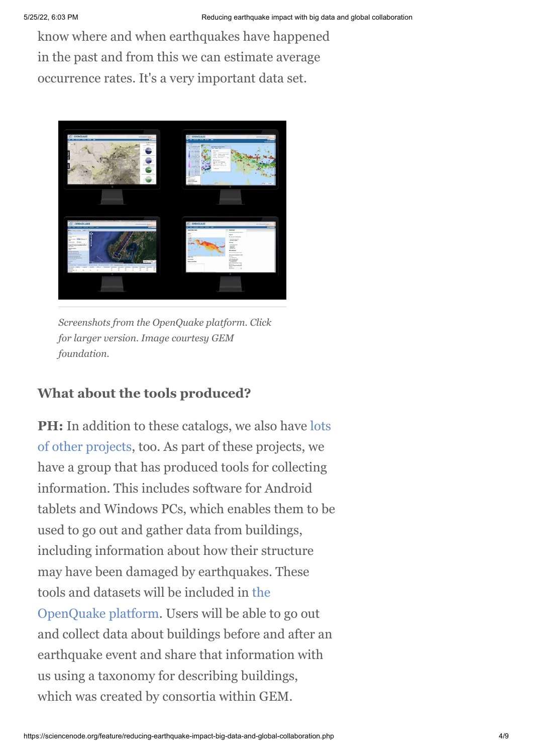know where and when earthquakes have happened in the past and from this we can estimate average occurrence rates. It's a very important data set.



*Screenshots from the OpenQuake platform. Click for larger version. Image courtesy GEM foundation.*

## **What about the tools produced?**

**PH:** In addition to these catalogs, we also have lots [of other projects, too. As part of these projects, we](http://www.globalquakemodel.org/gem/mission/products-services/#datasets) have a group that has produced tools for collecting information. This includes software for Android tablets and Windows PCs, which enables them to be used to go out and gather data from buildings, including information about how their structure may have been damaged by earthquakes. These [tools and datasets will be included in the](http://www.globalquakemodel.org/openquake/about/platform/) OpenQuake platform. Users will be able to go out and collect data about buildings before and after an earthquake event and share that information with us using a taxonomy for describing buildings, which was created by consortia within GEM.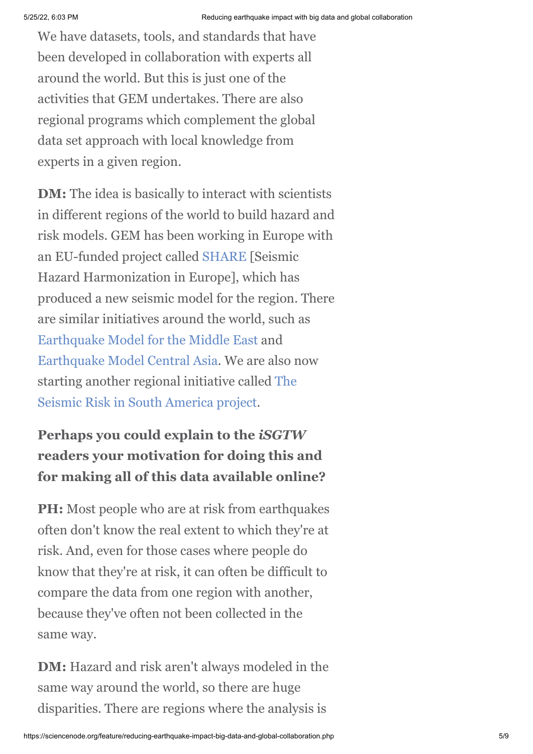We have datasets, tools, and standards that have been developed in collaboration with experts all around the world. But this is just one of the activities that GEM undertakes. There are also regional programs which complement the global data set approach with local knowledge from experts in a given region.

**DM:** The idea is basically to interact with scientists in different regions of the world to build hazard and risk models. GEM has been working in Europe with an EU-funded project called [SHARE](http://www.globalquakemodel.org/what/regions/europe/) [Seismic Hazard Harmonization in Europe], which has produced a new seismic model for the region. There are similar initiatives around the world, such as [Earthquake Model for the Middle East](http://www.globalquakemodel.org/what/regions/middle-east/) and [Earthquake Model Central Asia](http://www.globalquakemodel.org/what/regions/central-asia/). We are also now [starting another regional initiative called The](http://www.globalquakemodel.org/what/regions/south-america/) Seismic Risk in South America project.

# **Perhaps you could explain to the** *iSGTW* **readers your motivation for doing this and for making all of this data available online?**

**PH:** Most people who are at risk from earthquakes often don't know the real extent to which they're at risk. And, even for those cases where people do know that they're at risk, it can often be difficult to compare the data from one region with another, because they've often not been collected in the same way.

**DM:** Hazard and risk aren't always modeled in the same way around the world, so there are huge disparities. There are regions where the analysis is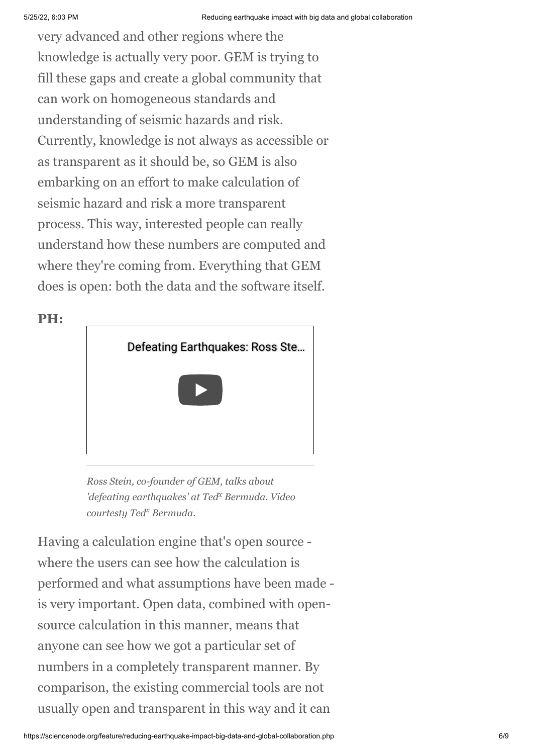very advanced and other regions where the knowledge is actually very poor. GEM is trying to fill these gaps and create a global community that can work on homogeneous standards and understanding of seismic hazards and risk. Currently, knowledge is not always as accessible or as transparent as it should be, so GEM is also embarking on an effort to make calculation of seismic hazard and risk a more transparent process. This way, interested people can really understand how these numbers are computed and where they're coming from. Everything that GEM does is open: both the data and the software itself.

**PH:**



*Ross Stein, co-founder of GEM, talks about* defeating earthquakes' at Ted<sup>x</sup> Bermuda. Video *courtesty Ted<sup>x</sup> Bermuda.* 

Having a calculation engine that's open source where the users can see how the calculation is performed and what assumptions have been made is very important. Open data, combined with opensource calculation in this manner, means that anyone can see how we got a particular set of numbers in a completely transparent manner. By comparison, the existing commercial tools are not usually open and transparent in this way and it can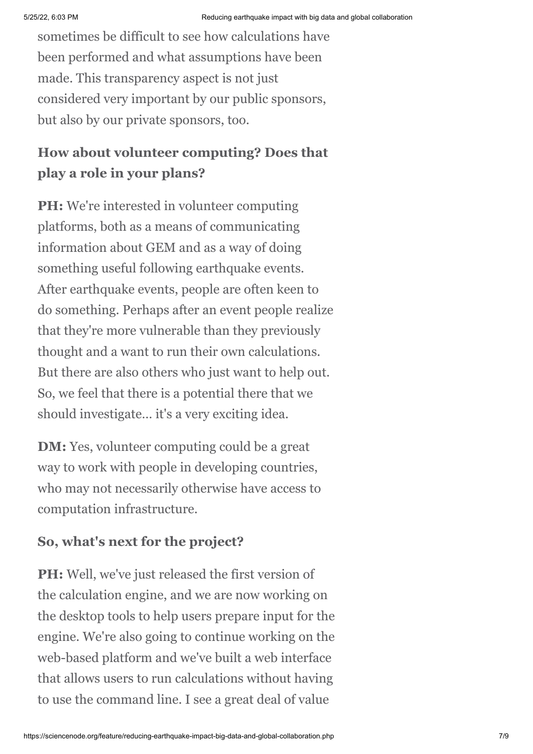sometimes be difficult to see how calculations have been performed and what assumptions have been made. This transparency aspect is not just considered very important by our public sponsors, but also by our private sponsors, too.

## **How about volunteer computing? Does that play a role in your plans?**

**PH:** We're interested in volunteer computing platforms, both as a means of communicating information about GEM and as a way of doing something useful following earthquake events. After earthquake events, people are often keen to do something. Perhaps after an event people realize that they're more vulnerable than they previously thought and a want to run their own calculations. But there are also others who just want to help out. So, we feel that there is a potential there that we should investigate… it's a very exciting idea.

**DM:** Yes, volunteer computing could be a great way to work with people in developing countries, who may not necessarily otherwise have access to computation infrastructure.

## **So, what's next for the project?**

**PH:** Well, we've just released the first version of the calculation engine, and we are now working on the desktop tools to help users prepare input for the engine. We're also going to continue working on the web-based platform and we've built a web interface that allows users to run calculations without having to use the command line. I see a great deal of value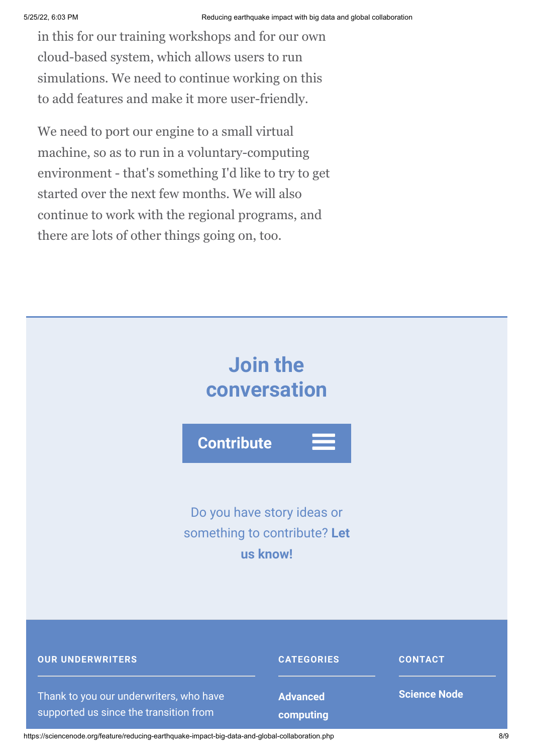in this for our training workshops and for our own cloud-based system, which allows users to run simulations. We need to continue working on this to add features and make it more user-friendly.

We need to port our engine to a small virtual machine, so as to run in a voluntary-computing environment - that's something I'd like to try to get started over the next few months. We will also continue to work with the regional programs, and there are lots of other things going on, too.